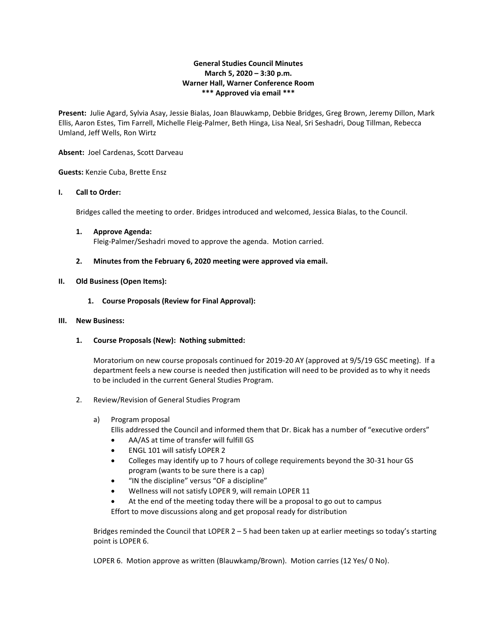# **General Studies Council Minutes March 5, 2020 – 3:30 p.m. Warner Hall, Warner Conference Room \*\*\* Approved via email \*\*\***

**Present:** Julie Agard, Sylvia Asay, Jessie Bialas, Joan Blauwkamp, Debbie Bridges, Greg Brown, Jeremy Dillon, Mark Ellis, Aaron Estes, Tim Farrell, Michelle Fleig-Palmer, Beth Hinga, Lisa Neal, Sri Seshadri, Doug Tillman, Rebecca Umland, Jeff Wells, Ron Wirtz

**Absent:** Joel Cardenas, Scott Darveau

**Guests:** Kenzie Cuba, Brette Ensz

## **I. Call to Order:**

Bridges called the meeting to order. Bridges introduced and welcomed, Jessica Bialas, to the Council.

- **1. Approve Agenda:** Fleig-Palmer/Seshadri moved to approve the agenda. Motion carried.
- **2. Minutes from the February 6, 2020 meeting were approved via email.**

## **II. Old Business (Open Items):**

**1. Course Proposals (Review for Final Approval):**

## **III. New Business:**

**1. Course Proposals (New): Nothing submitted:**

Moratorium on new course proposals continued for 2019-20 AY (approved at 9/5/19 GSC meeting). If a department feels a new course is needed then justification will need to be provided as to why it needs to be included in the current General Studies Program.

- 2. Review/Revision of General Studies Program
	- a) Program proposal
		- Ellis addressed the Council and informed them that Dr. Bicak has a number of "executive orders"
		- AA/AS at time of transfer will fulfill GS
		- ENGL 101 will satisfy LOPER 2
		- Colleges may identify up to 7 hours of college requirements beyond the 30-31 hour GS program (wants to be sure there is a cap)
		- "IN the discipline" versus "OF a discipline"
		- Wellness will not satisfy LOPER 9, will remain LOPER 11
		- At the end of the meeting today there will be a proposal to go out to campus

Effort to move discussions along and get proposal ready for distribution

Bridges reminded the Council that LOPER 2 – 5 had been taken up at earlier meetings so today's starting point is LOPER 6.

LOPER 6. Motion approve as written (Blauwkamp/Brown). Motion carries (12 Yes/ 0 No).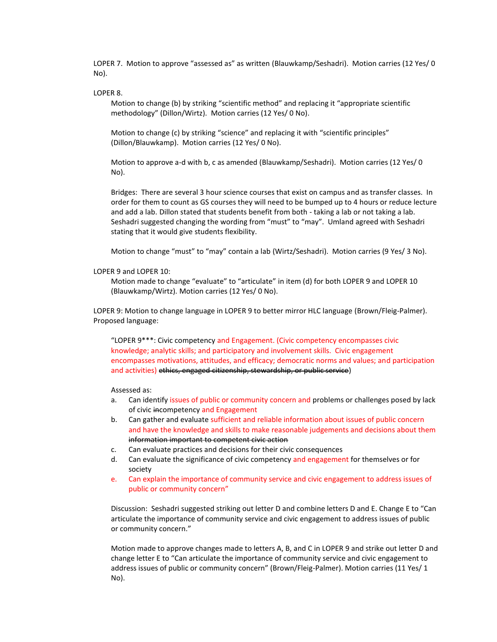LOPER 7. Motion to approve "assessed as" as written (Blauwkamp/Seshadri). Motion carries (12 Yes/ 0 No).

## LOPER 8.

Motion to change (b) by striking "scientific method" and replacing it "appropriate scientific methodology" (Dillon/Wirtz). Motion carries (12 Yes/ 0 No).

Motion to change (c) by striking "science" and replacing it with "scientific principles" (Dillon/Blauwkamp). Motion carries (12 Yes/ 0 No).

Motion to approve a-d with b, c as amended (Blauwkamp/Seshadri). Motion carries (12 Yes/ 0 No).

Bridges: There are several 3 hour science courses that exist on campus and as transfer classes. In order for them to count as GS courses they will need to be bumped up to 4 hours or reduce lecture and add a lab. Dillon stated that students benefit from both - taking a lab or not taking a lab. Seshadri suggested changing the wording from "must" to "may". Umland agreed with Seshadri stating that it would give students flexibility.

Motion to change "must" to "may" contain a lab (Wirtz/Seshadri). Motion carries (9 Yes/ 3 No).

#### LOPER 9 and LOPER 10:

Motion made to change "evaluate" to "articulate" in item (d) for both LOPER 9 and LOPER 10 (Blauwkamp/Wirtz). Motion carries (12 Yes/ 0 No).

LOPER 9: Motion to change language in LOPER 9 to better mirror HLC language (Brown/Fleig-Palmer). Proposed language:

"LOPER 9\*\*\*: Civic competency and Engagement. (Civic competency encompasses civic knowledge; analytic skills; and participatory and involvement skills. Civic engagement encompasses motivations, attitudes, and efficacy; democratic norms and values; and participation and activities) ethics, engaged citizenship, stewardship, or public service)

Assessed as:

- a. Can identify issues of public or community concern and problems or challenges posed by lack of civic incompetency and Engagement
- b. Can gather and evaluate sufficient and reliable information about issues of public concern and have the knowledge and skills to make reasonable judgements and decisions about them information important to competent civic action
- c. Can evaluate practices and decisions for their civic consequences
- d. Can evaluate the significance of civic competency and engagement for themselves or for society
- e. Can explain the importance of community service and civic engagement to address issues of public or community concern"

Discussion: Seshadri suggested striking out letter D and combine letters D and E. Change E to "Can articulate the importance of community service and civic engagement to address issues of public or community concern."

Motion made to approve changes made to letters A, B, and C in LOPER 9 and strike out letter D and change letter E to "Can articulate the importance of community service and civic engagement to address issues of public or community concern" (Brown/Fleig-Palmer). Motion carries (11 Yes/ 1 No).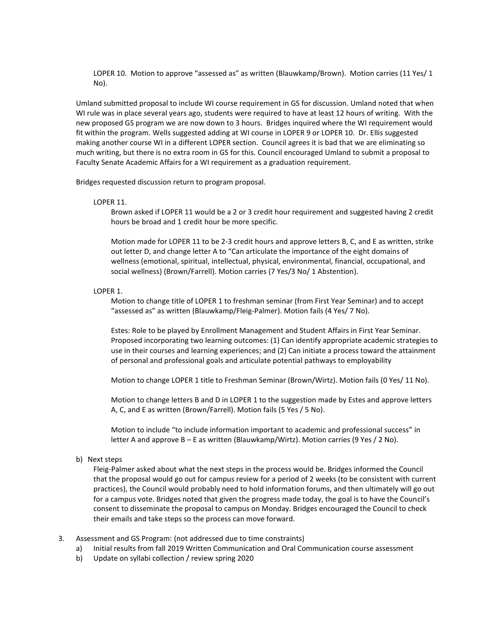LOPER 10. Motion to approve "assessed as" as written (Blauwkamp/Brown). Motion carries (11 Yes/ 1 No).

Umland submitted proposal to include WI course requirement in GS for discussion. Umland noted that when WI rule was in place several years ago, students were required to have at least 12 hours of writing. With the new proposed GS program we are now down to 3 hours. Bridges inquired where the WI requirement would fit within the program. Wells suggested adding at WI course in LOPER 9 or LOPER 10. Dr. Ellis suggested making another course WI in a different LOPER section. Council agrees it is bad that we are eliminating so much writing, but there is no extra room in GS for this. Council encouraged Umland to submit a proposal to Faculty Senate Academic Affairs for a WI requirement as a graduation requirement.

Bridges requested discussion return to program proposal.

### LOPER 11.

Brown asked if LOPER 11 would be a 2 or 3 credit hour requirement and suggested having 2 credit hours be broad and 1 credit hour be more specific.

Motion made for LOPER 11 to be 2-3 credit hours and approve letters B, C, and E as written, strike out letter D, and change letter A to "Can articulate the importance of the eight domains of wellness (emotional, spiritual, intellectual, physical, environmental, financial, occupational, and social wellness) (Brown/Farrell). Motion carries (7 Yes/3 No/ 1 Abstention).

### LOPER 1.

Motion to change title of LOPER 1 to freshman seminar (from First Year Seminar) and to accept "assessed as" as written (Blauwkamp/Fleig-Palmer). Motion fails (4 Yes/ 7 No).

Estes: Role to be played by Enrollment Management and Student Affairs in First Year Seminar. Proposed incorporating two learning outcomes: (1) Can identify appropriate academic strategies to use in their courses and learning experiences; and (2) Can initiate a process toward the attainment of personal and professional goals and articulate potential pathways to employability

Motion to change LOPER 1 title to Freshman Seminar (Brown/Wirtz). Motion fails (0 Yes/ 11 No).

Motion to change letters B and D in LOPER 1 to the suggestion made by Estes and approve letters A, C, and E as written (Brown/Farrell). Motion fails (5 Yes / 5 No).

Motion to include "to include information important to academic and professional success" in letter A and approve B – E as written (Blauwkamp/Wirtz). Motion carries (9 Yes / 2 No).

#### b) Next steps

Fleig-Palmer asked about what the next steps in the process would be. Bridges informed the Council that the proposal would go out for campus review for a period of 2 weeks (to be consistent with current practices), the Council would probably need to hold information forums, and then ultimately will go out for a campus vote. Bridges noted that given the progress made today, the goal is to have the Council's consent to disseminate the proposal to campus on Monday. Bridges encouraged the Council to check their emails and take steps so the process can move forward.

- 3. Assessment and GS Program: (not addressed due to time constraints)
	- a) Initial results from fall 2019 Written Communication and Oral Communication course assessment
	- b) Update on syllabi collection / review spring 2020